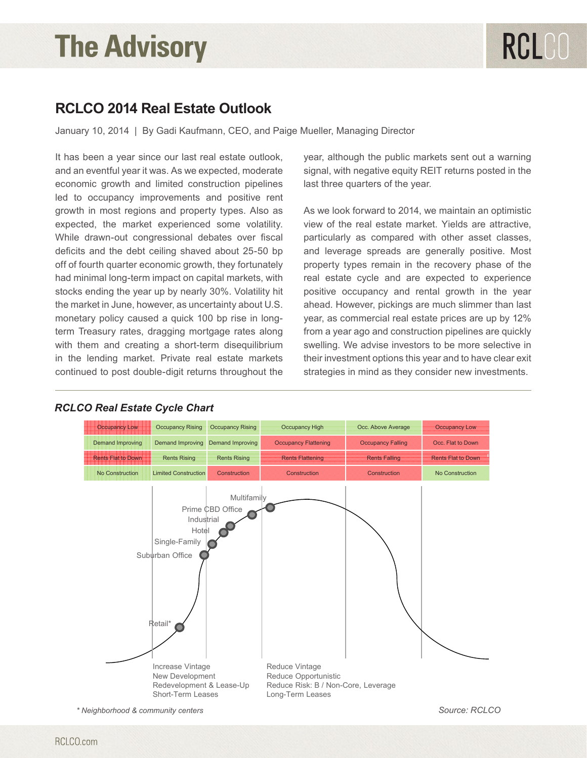### **RCLCO 2014 Real Estate Outlook**

January 10, 2014 | By Gadi Kaufmann, CEO, and Paige Mueller, Managing Director

It has been a year since our last real estate outlook, and an eventful year it was. As we expected, moderate economic growth and limited construction pipelines led to occupancy improvements and positive rent growth in most regions and property types. Also as expected, the market experienced some volatility. While drawn-out congressional debates over fiscal deficits and the debt ceiling shaved about 25-50 bp off of fourth quarter economic growth, they fortunately had minimal long-term impact on capital markets, with stocks ending the year up by nearly 30%. Volatility hit the market in June, however, as uncertainty about U.S. monetary policy caused a quick 100 bp rise in longterm Treasury rates, dragging mortgage rates along with them and creating a short-term disequilibrium in the lending market. Private real estate markets continued to post double-digit returns throughout the

year, although the public markets sent out a warning signal, with negative equity REIT returns posted in the last three quarters of the year.

As we look forward to 2014, we maintain an optimistic view of the real estate market. Yields are attractive, particularly as compared with other asset classes, and leverage spreads are generally positive. Most property types remain in the recovery phase of the real estate cycle and are expected to experience positive occupancy and rental growth in the year ahead. However, pickings are much slimmer than last year, as commercial real estate prices are up by 12% from a year ago and construction pipelines are quickly swelling. We advise investors to be more selective in their investment options this year and to have clear exit returns throughout the strategies in mind as they consider new investments.



### *RCLCO Real Estate Cycle Chart*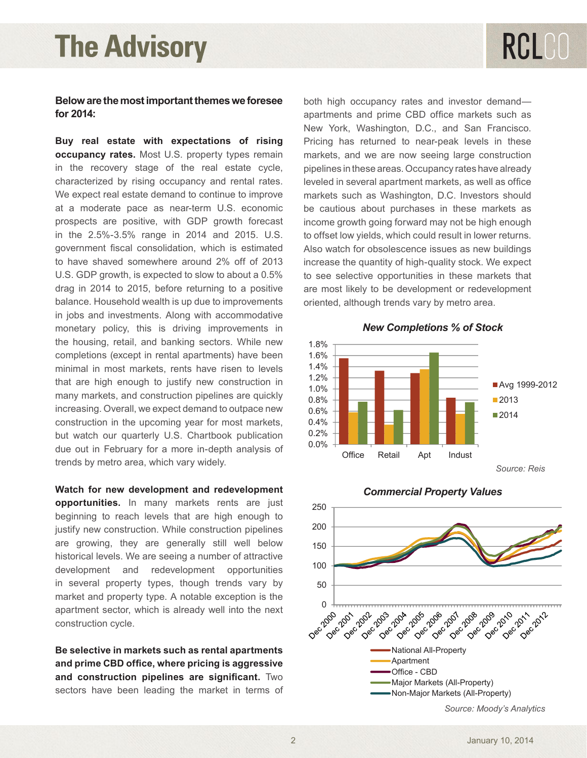Prime CBD Office

### **Below are the most important themes we foresee for 2014:**

**Buy real estate with expectations of rising occupancy rates.** Most U.S. property types remain in the recovery stage of the real estate cycle, characterized by rising occupancy and rental rates. We expect real estate demand to continue to improve at a moderate pace as near-term U.S. economic prospects are positive, with GDP growth forecast in the 2.5%-3.5% range in 2014 and 2015. U.S. government fiscal consolidation, which is estimated to have shaved somewhere around 2% off of 2013 U.S. GDP growth, is expected to slow to about a 0.5% drag in 2014 to 2015, before returning to a positive balance. Household wealth is up due to improvements in jobs and investments. Along with accommodative monetary policy, this is driving improvements in the housing, retail, and banking sectors. While new completions (except in rental apartments) have been minimal in most markets, rents have risen to levels that are high enough to justify new construction in many markets, and construction pipelines are quickly increasing. Overall, we expect demand to outpace new construction in the upcoming year for most markets, due out in February for a more in-depth analysis of trends by metro area, which vary widely. although trends vary by metro area. The second variable vary by metro area. The second variable vary by metro area. The second variable vary by metro area. The second variable vary by metro area. The second variable variab

**Watch for new development and redevelopment opportunities.** In many markets rents are just beginning to reach levels that are high enough to justify new construction. While construction pipelines are growing, they are generally still well below historical levels. We are seeing a number of attractive development and redevelopment opportunities in several property types, though trends vary by market and property type. A notable exception is the apartment sector, which is already well into the next construction cycle.

**Be selective in markets such as rental apartments and prime CBD office, where pricing is aggressive and construction pipelines are significant.** Two sectors have been leading the market in terms of

both high occupancy rates and investor demand apartments and prime CBD office markets such as New York, Washington, D.C., and San Francisco. Pricing has returned to near-peak levels in these markets, and we are now seeing large construction pipelines in these areas. Occupancy rates have already leveled in several apartment markets, as well as office markets such as Washington, D.C. Investors should be cautious about purchases in these markets as income growth going forward may not be high enough to offset low yields, which could result in lower returns. Also watch for obsolescence issues as new buildings increase the quantity of high-quality stock. We expect to see selective opportunities in these markets that are most likely to be development or redevelopment oriented, although trends vary by metro area. beginning to reach levels that are high enough to justify new construction. While construction pipelines



*Source: Reis*



*Source: Moody's Analytics*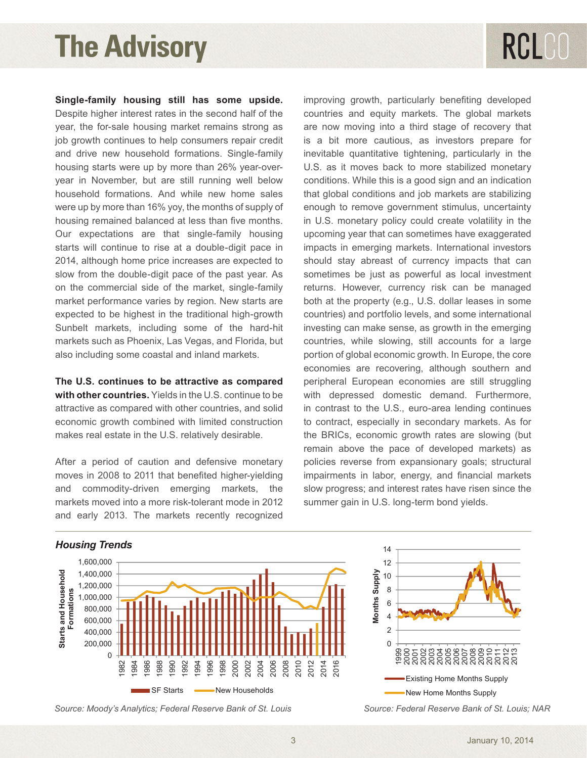# RCLCO

**Single-family housing still has some upside.** improving growth, particularly benefiting develop Despite higher interest rates in the second half of the countries and equity markets. The global mark year, the for-sale housing market remains strong as job growth continues to help consumers repair credit and drive new household formations. Single-family housing starts were up by more than 26% year-overyear in November, but are still running well below household formations. And while new home sales were up by more than 16% yoy, the months of supply of housing remained balanced at less than five months. Our expectations are that single-family housing starts will continue to rise at a double-digit pace in 2014, although home price increases are expected to 0 0 slow from the double-digit pace of the past year. As on the commercial side of the market, single-family market performance varies by region. New starts are expected to be highest in the traditional high-growth cour Supposed to be highed in the traditional high growth markets such as Phoenix, Las Vegas, and Florida, but also including some coastal and inland markets. spite inglier interest rates in the second half of the countries and equity markets. The global mark nard-nit Apartment  $\overline{\phantom{a}}$ 

**The U.S. continues to be attractive as compared with other countries.** Yields in the U.S. continue to be attractive as compared with other countries, and solid economic growth combined with limited construction b to contract, especially in secondary markets. As makes real estate in the U.S. relatively desirable.

moves in 2008 to 2011 that benefited higher-yielding a impairments in labor, energy, and financial mark and commodity-driven emerging markets, the slow progress; and interest rates have risen since markets moved into a more risk-tolerant mode in 2012 summer gain in U.S. long-term bond yields. and early 2013. The markets recently recognized to be the sunbelt markets in the hard-hite markets, including some of the hard-hite markets, including some of the hard-hite markets, including some of the hard-hite markets,  $\epsilon$  a period of cautor and determine monetary policies reverse non-expansionary goals, structured at  $\epsilon$ markets such as Phoenix, Las Vegas, and Florida, but also including some coastal and including some coastal and markets. expected to be higher than the traditional high-ground  $\epsilon$  including some of the hard-hite matrice of the hard-hite  $\epsilon$ markets such as Phoenix, Las Vegas, and Florida, but also including some coastal and including markets.

After a period of caution and defensive monetary policies reverse from expansionary goals; structure gle-family housing still has some upside. improving growth, particularly benefiting developed countries and equity markets. The global markets are ingrier interest rates in the second han or the secondities and equity markets. The global markets in the<br>In, the for-sale housing market remains strong as are now moving into a third stage of recovery that is a bit more cautious, as investors prepare for inevitable quantitative tightening, particularly in the U.S. as it moves back to more stabilized monetary conditions. While this is a good sign and an indication that global conditions and job markets are stabilizing enough to remove government stimulus, uncertainty in U.S. monetary policy could create volatility in the upcoming year that can sometimes have exaggerated impacts in emerging markets. International investors should stay abreast of currency impacts that can sometimes be just as powerful as local investment returns. However, currency risk can be managed both at the property (e.g., U.S. dollar leases in some countries) and portfolio levels, and some international investing can make sense, as growth in the emerging orida, but countries, while slowing, still accounts for a large ets. portion of global economic growth. In Europe, the core economies are recovering, although southern and peripheral European economies are still struggling with depressed domestic demand. Furthermore, in contrast to the U.S., euro-area lending continues to contract, especially in secondary markets. As for akes real estate in the U.S. relatively desirable. The BRICs, economic growth rates are slowing (but remain above the pace of developed markets) as er a period of caution and defensive monetary policies reverse from expansionary goals; structural impairments in labor, energy, and financial markets l commodity-driven emerging markets, the slow-progress; and interest rates-have-risen-since-the summer gain in U.S. long-term bond yields. is new buildings interest rates in the second belt of the  $\epsilon$  countries and equity markets. The global market up than 16% yourself with the months of supply of supply of supply of supply of supply of supply of  $\mathbb{R}$ .  $v$ es in 2008 to 2011 that benefited higher-yielding  $v$  impairments in labor, energy, and imancial mark



### *Housing Trends*

*Source: Moody's Analytics; Federal Reserve Bank of St. Louis Source: Federal Reserve Bank of St. Louis; NAR*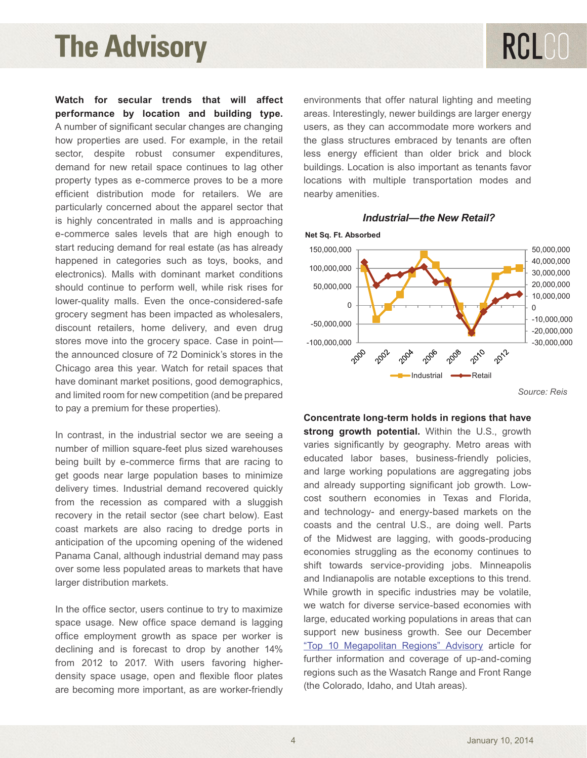**Watch for secular trends that will affect performance by location and building type.** A number of significant secular changes are changing how properties are used. For example, in the retail sector, despite robust consumer expenditures, demand for new retail space continues to lag other property types as e-commerce proves to be a more efficient distribution mode for retailers. We are particularly concerned about the apparel sector that is highly concentrated in malls and is approaching e-commerce sales levels that are high enough to start reducing demand for real estate (as has already happened in categories such as toys, books, and electronics). Malls with dominant market conditions should continue to perform well, while risk rises for lower-quality malls. Even the once-considered-safe grocery segment has been impacted as wholesalers, discount retailers, home delivery, and even drug stores move into the grocery space. Case in point the announced closure of 72 Dominick's stores in the Chicago area this year. Watch for retail spaces that have dominant market positions, good demographics, and limited room for new competition (and be prepared to pay a premium for these properties).

In contrast, in the industrial sector we are seeing a number of million square-feet plus sized warehouses being built by e-commerce firms that are racing to get goods near large population bases to minimize delivery times. Industrial demand recovered quickly from the recession as compared with a sluggish recovery in the retail sector (see chart below). East coast markets are also racing to dredge ports in anticipation of the upcoming opening of the widened Panama Canal, although industrial demand may pass over some less populated areas to markets that have larger distribution markets.

In the office sector, users continue to try to maximize space usage. New office space demand is lagging office employment growth as space per worker is sup declining and is forecast to drop by another 14% from 2012 to 2017. With users favoring higherdensity space usage, open and flexible floor plates are becoming more important, as are worker-friendly

environments that offer natural lighting and meeting areas. Interestingly, newer buildings are larger energy  $\frac{3}{10}$  are changing users, as they can accommodate more workers and the glass structures embraced by tenants are often rexpenditures, alless energy efficient than older brick and block Les to lag other buildings. Location is also important as tenants favor es to be a more bocations with multiple transportation modes and nearby amenities. bo die omanging tool of do are reduced firms that are responsible to get goods near large population bases to minimize the minimized population bases to minimize the minimized population bases of the minimized population b  $\mu$ e, in the retail delivers structures embraced by tenants are often

#### *Industrial-the New Retail? Industrial—the New Retail?*



*Source: Reis*

**Concentrate long-term holds in regions that have Solution are seed of the office sector of the office sector, users continue to the space users of the space of**<br>In the U.S., growth space space space of the U.S. growth zed warehouses buaries significantly by geography. Metro areas with at are racing to beducated labor bases, business-friendly policies, areas to minimize and large working populations are aggregating jobs ses to immitte<br>covered quickly and already supporting significant job growth. Lowcovered quickly and directly exploring eignmeant jee growth. Een<br>with a sluggish cost southern economies in Texas and Florida, and technology- and energy-based markets on the **COLDENTE IN THE STROUGHT IN STRONG IN A** region of the central U.S., are doing well. Parts not policies in an of the Midwest are lagging, with goods-producing and the widened For the widerled economies struggling as the economy continues to  $\frac{1}{2}$ arkets that have shift towards service-providing jobs. Minneapolis and Indianapolis are notable exceptions to this trend. While growth in specific industries may be volatile, try to maximize we watch for diverse service-based economies with ing to maximize the material can encode our necessary continuous matricle for the term of the second functions in areas that can mand is lagging and angles educated working populations in areas that can support new business growth. See our December ["Top 10 Megapolitan Regions" Advisory](http://www.rclco.com/advisory-top-10-megapolitan-regions-gaining-market-share) article for further information and coverage of up-and-coming interior interavoring inglier-<br>ible floor plates are <sup>regions</sup> such as the Wasatch Range and Front Range e worker-friendly (the Colorado, Idaho, and Utah areas).  $\alpha$  is a seed as subsequent growth potential. Viding the O.O., growth m and may pass and Florida and Florida, and Florida, and the company commutes in the company of the content markets on the content may be an analyze matter matter matter matter matter matter matter matter matter matter mat nand is lagging and tange, educated working populations in areas that Can ible floor plates regions such as the wasand range and From Trange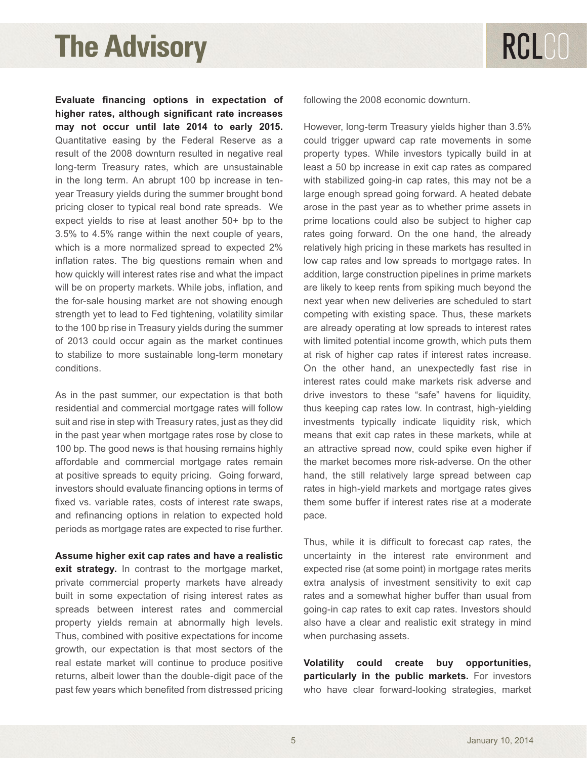**Evaluate financing options in expectation of higher rates, although significant rate increases may not occur until late 2014 to early 2015.** Quantitative easing by the Federal Reserve as a result of the 2008 downturn resulted in negative real long-term Treasury rates, which are unsustainable in the long term. An abrupt 100 bp increase in tenyear Treasury yields during the summer brought bond pricing closer to typical real bond rate spreads. We expect yields to rise at least another 50+ bp to the 3.5% to 4.5% range within the next couple of years, which is a more normalized spread to expected 2% inflation rates. The big questions remain when and how quickly will interest rates rise and what the impact will be on property markets. While jobs, inflation, and the for-sale housing market are not showing enough strength yet to lead to Fed tightening, volatility similar to the 100 bp rise in Treasury yields during the summer of 2013 could occur again as the market continues to stabilize to more sustainable long-term monetary conditions.

As in the past summer, our expectation is that both residential and commercial mortgage rates will follow suit and rise in step with Treasury rates, just as they did in the past year when mortgage rates rose by close to 100 bp. The good news is that housing remains highly affordable and commercial mortgage rates remain at positive spreads to equity pricing. Going forward, investors should evaluate financing options in terms of fixed vs. variable rates, costs of interest rate swaps, and refinancing options in relation to expected hold periods as mortgage rates are expected to rise further.

**Assume higher exit cap rates and have a realistic exit strategy.** In contrast to the mortgage market, private commercial property markets have already built in some expectation of rising interest rates as spreads between interest rates and commercial property yields remain at abnormally high levels. Thus, combined with positive expectations for income growth, our expectation is that most sectors of the real estate market will continue to produce positive returns, albeit lower than the double-digit pace of the past few years which benefited from distressed pricing following the 2008 economic downturn.

However, long-term Treasury yields higher than 3.5% could trigger upward cap rate movements in some property types. While investors typically build in at least a 50 bp increase in exit cap rates as compared with stabilized going-in cap rates, this may not be a large enough spread going forward. A heated debate arose in the past year as to whether prime assets in prime locations could also be subject to higher cap rates going forward. On the one hand, the already relatively high pricing in these markets has resulted in low cap rates and low spreads to mortgage rates. In addition, large construction pipelines in prime markets are likely to keep rents from spiking much beyond the next year when new deliveries are scheduled to start competing with existing space. Thus, these markets are already operating at low spreads to interest rates with limited potential income growth, which puts them at risk of higher cap rates if interest rates increase. On the other hand, an unexpectedly fast rise in interest rates could make markets risk adverse and drive investors to these "safe" havens for liquidity, thus keeping cap rates low. In contrast, high-yielding investments typically indicate liquidity risk, which means that exit cap rates in these markets, while at an attractive spread now, could spike even higher if the market becomes more risk-adverse. On the other hand, the still relatively large spread between cap rates in high-yield markets and mortgage rates gives them some buffer if interest rates rise at a moderate pace.

Thus, while it is difficult to forecast cap rates, the uncertainty in the interest rate environment and expected rise (at some point) in mortgage rates merits extra analysis of investment sensitivity to exit cap rates and a somewhat higher buffer than usual from going-in cap rates to exit cap rates. Investors should also have a clear and realistic exit strategy in mind when purchasing assets.

**Volatility could create buy opportunities, particularly in the public markets.** For investors who have clear forward-looking strategies, market